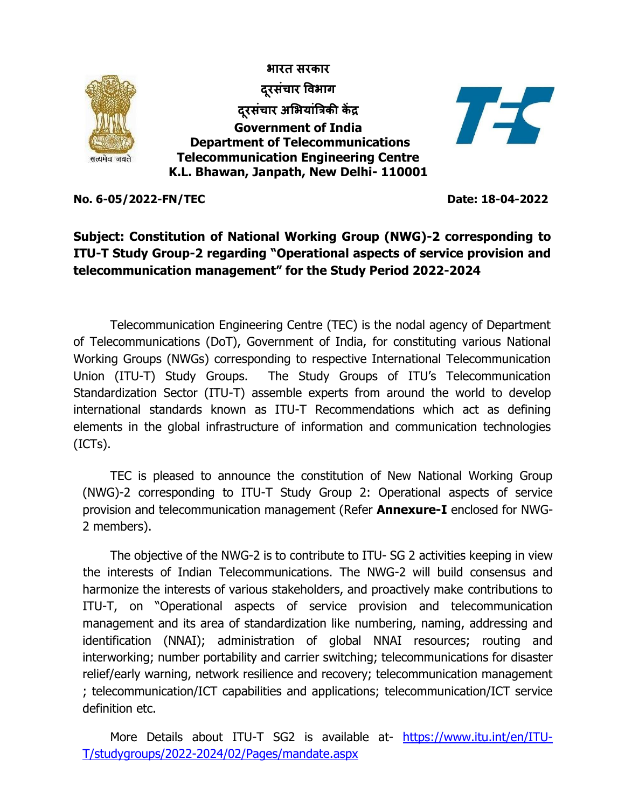

**No. 6-05/2022-FN/TEC Date: 18-04-2022**

## **Subject: Constitution of National Working Group (NWG)-2 corresponding to ITU-T Study Group-2 regarding "Operational aspects of service provision and telecommunication management" for the Study Period 2022-2024**

Telecommunication Engineering Centre (TEC) is the nodal agency of Department of Telecommunications (DoT), Government of India, for constituting various National Working Groups (NWGs) corresponding to respective International Telecommunication Union (ITU-T) Study Groups. The Study Groups of ITU's Telecommunication Standardization Sector (ITU-T) assemble experts from around the world to develop international standards known as ITU-T Recommendations which act as defining elements in the global infrastructure of information and communication technologies (ICTs).

TEC is pleased to announce the constitution of New National Working Group (NWG)-2 corresponding to ITU-T Study Group 2: Operational aspects of service provision and telecommunication management (Refer **Annexure-I** enclosed for NWG-2 members).

The objective of the NWG-2 is to contribute to ITU- SG 2 activities keeping in view the interests of Indian Telecommunications. The NWG-2 will build consensus and harmonize the interests of various stakeholders, and proactively make contributions to ITU-T, on "Operational aspects of service provision and telecommunication management and its area of standardization like numbering, naming, addressing and identification (NNAI); administration of global NNAI resources; routing and interworking; number portability and carrier switching; telecommunications for disaster relief/early warning, network resilience and recovery; telecommunication management ; telecommunication/ICT capabilities and applications; telecommunication/ICT service definition etc.

More Details about ITU-T SG2 is available at- [https://www.itu.int/en/ITU-](https://www.itu.int/en/ITU-T/studygroups/2022-2024/02/Pages/mandate.aspx)[T/studygroups/2022-2024/02/Pages/mandate.aspx](https://www.itu.int/en/ITU-T/studygroups/2022-2024/02/Pages/mandate.aspx)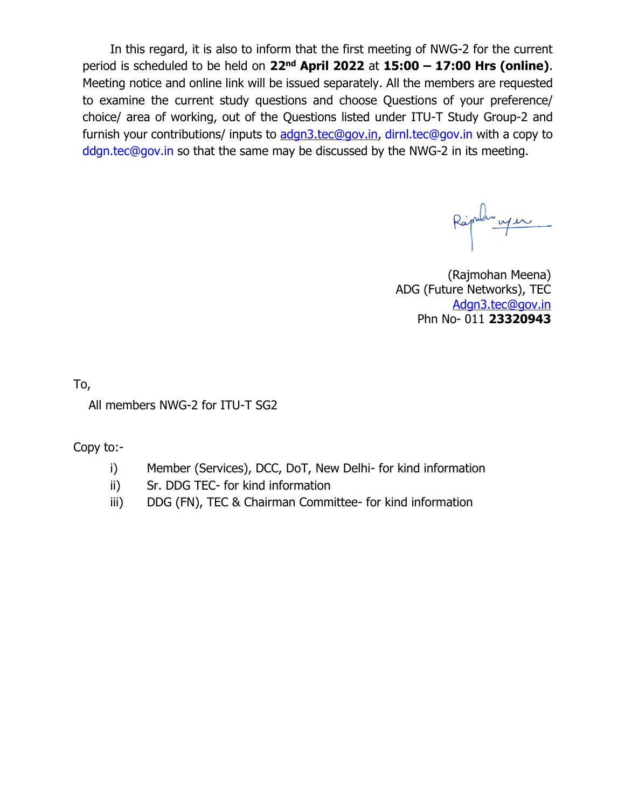In this regard, it is also to inform that the first meeting of NWG-2 for the current period is scheduled to be held on **22nd April 2022** at **15:00 – 17:00 Hrs (online)**. Meeting notice and online link will be issued separately. All the members are requested to examine the current study questions and choose Questions of your preference/ choice/ area of working, out of the Questions listed under ITU-T Study Group-2 and furnish your contributions/ inputs to [adgn3.tec@gov.in,](mailto:adgn3.tec@gov.in) [dirnl.tec@gov.in](mailto:dirnl.tec@gov.in) with a copy to [ddgn.tec@gov.in](mailto:ddgn.tec@gov.in) so that the same may be discussed by the NWG-2 in its meeting.

(Rajmohan Meena) ADG (Future Networks), TEC Adgn3.tec@gov.in Phn No- 011 **23320943**

To,

All members NWG-2 for ITU-T SG2

Copy to:-

- i) Member (Services), DCC, DoT, New Delhi- for kind information
- ii) Sr. DDG TEC- for kind information
- iii) DDG (FN), TEC & Chairman Committee- for kind information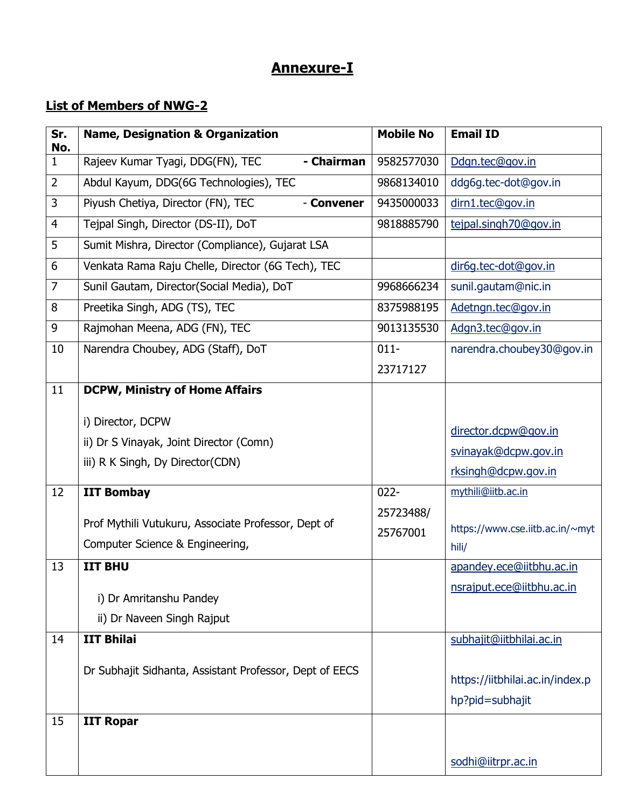## **Annexure-I**

## **List of Members of NWG-2**

| Sr.<br>No.     | <b>Name, Designation &amp; Organization</b>             | <b>Mobile No</b> | <b>Email ID</b>                          |
|----------------|---------------------------------------------------------|------------------|------------------------------------------|
| $\mathbf{1}$   | - Chairman<br>Rajeev Kumar Tyagi, DDG(FN), TEC          | 9582577030       | Ddgn.tec@gov.in                          |
| $\overline{2}$ | Abdul Kayum, DDG(6G Technologies), TEC                  | 9868134010       | ddg6g.tec-dot@gov.in                     |
| 3              | Piyush Chetiya, Director (FN), TEC<br>- Convener        | 9435000033       | dirn1.tec@gov.in                         |
| 4              | Tejpal Singh, Director (DS-II), DoT                     | 9818885790       | tejpal.singh70@gov.in                    |
| 5              | Sumit Mishra, Director (Compliance), Gujarat LSA        |                  |                                          |
| 6              | Venkata Rama Raju Chelle, Director (6G Tech), TEC       |                  | dir6g.tec-dot@gov.in                     |
| $\overline{7}$ | Sunil Gautam, Director(Social Media), DoT               | 9968666234       | sunil.gautam@nic.in                      |
| 8              | Preetika Singh, ADG (TS), TEC                           | 8375988195       | Adetngn.tec@gov.in                       |
| 9              | Rajmohan Meena, ADG (FN), TEC                           | 9013135530       | Adgn3.tec@gov.in                         |
| 10             | Narendra Choubey, ADG (Staff), DoT                      | $011 -$          | narendra.choubey30@qov.in                |
|                |                                                         | 23717127         |                                          |
| 11             | <b>DCPW, Ministry of Home Affairs</b>                   |                  |                                          |
|                | i) Director, DCPW                                       |                  |                                          |
|                | ii) Dr S Vinayak, Joint Director (Comn)                 |                  | director.dcpw@gov.in                     |
|                | iii) R K Singh, Dy Director(CDN)                        |                  | svinayak@dcpw.gov.in                     |
|                |                                                         |                  | rksingh@dcpw.gov.in                      |
| 12             | <b>IIT Bombay</b>                                       | $022 -$          | mythili@iitb.ac.in                       |
|                | Prof Mythili Vutukuru, Associate Professor, Dept of     | 25723488/        |                                          |
|                | Computer Science & Engineering,                         | 25767001         | https://www.cse.iitb.ac.in/~myt<br>hili/ |
| 13             | <b>IIT BHU</b>                                          |                  | apandey.ece@iitbhu.ac.in                 |
|                |                                                         |                  | nsrajput.ece@iitbhu.ac.in                |
|                | i) Dr Amritanshu Pandey                                 |                  |                                          |
|                | ii) Dr Naveen Singh Rajput                              |                  |                                          |
| 14             | <b>IIT Bhilai</b>                                       |                  | subhajit@iitbhilai.ac.in                 |
|                | Dr Subhajit Sidhanta, Assistant Professor, Dept of EECS |                  |                                          |
|                |                                                         |                  | https://iitbhilai.ac.in/index.p          |
|                |                                                         |                  | hp?pid=subhajit                          |
| 15             | <b>IIT Ropar</b>                                        |                  |                                          |
|                |                                                         |                  |                                          |
|                |                                                         |                  | sodhi@iitrpr.ac.in                       |